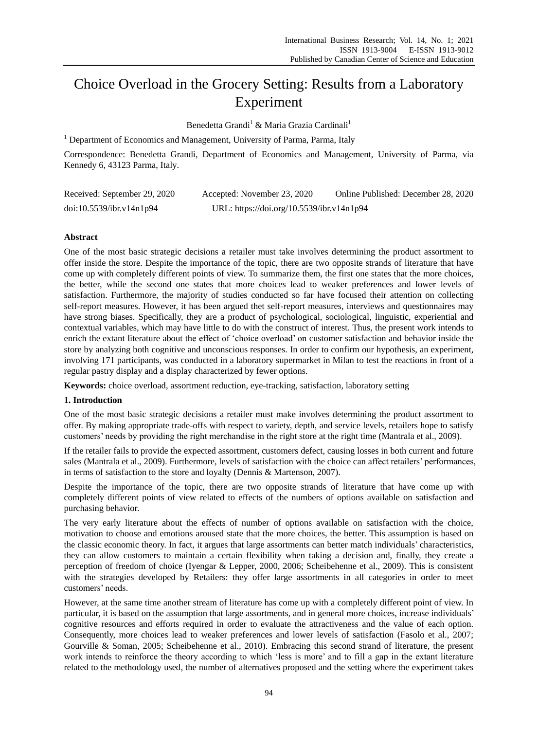# Choice Overload in the Grocery Setting: Results from a Laboratory Experiment

Benedetta Grandi<sup>1</sup> & Maria Grazia Cardinali<sup>1</sup>

 $<sup>1</sup>$  Department of Economics and Management, University of Parma, Parma, Italy</sup>

Correspondence: Benedetta Grandi, Department of Economics and Management, University of Parma, via Kennedy 6, 43123 Parma, Italy.

| Received: September 29, 2020 | Accepted: November 23, 2020               | Online Published: December 28, 2020 |
|------------------------------|-------------------------------------------|-------------------------------------|
| doi:10.5539/ibr.v14n1p94     | URL: https://doi.org/10.5539/ibr.v14n1p94 |                                     |

# **Abstract**

One of the most basic strategic decisions a retailer must take involves determining the product assortment to offer inside the store. Despite the importance of the topic, there are two opposite strands of literature that have come up with completely different points of view. To summarize them, the first one states that the more choices, the better, while the second one states that more choices lead to weaker preferences and lower levels of satisfaction. Furthermore, the majority of studies conducted so far have focused their attention on collecting self-report measures. However, it has been argued thet self-report measures, interviews and questionnaires may have strong biases. Specifically, they are a product of psychological, sociological, linguistic, experiential and contextual variables, which may have little to do with the construct of interest. Thus, the present work intends to enrich the extant literature about the effect of "choice overload" on customer satisfaction and behavior inside the store by analyzing both cognitive and unconscious responses. In order to confirm our hypothesis, an experiment, involving 171 participants, was conducted in a laboratory supermarket in Milan to test the reactions in front of a regular pastry display and a display characterized by fewer options.

**Keywords:** choice overload, assortment reduction, eye-tracking, satisfaction, laboratory setting

# **1. Introduction**

One of the most basic strategic decisions a retailer must make involves determining the product assortment to offer. By making appropriate trade-offs with respect to variety, depth, and service levels, retailers hope to satisfy customers" needs by providing the right merchandise in the right store at the right time (Mantrala et al., 2009).

If the retailer fails to provide the expected assortment, customers defect, causing losses in both current and future sales (Mantrala et al., 2009). Furthermore, levels of satisfaction with the choice can affect retailers" performances, in terms of satisfaction to the store and loyalty (Dennis & Martenson, 2007).

Despite the importance of the topic, there are two opposite strands of literature that have come up with completely different points of view related to effects of the numbers of options available on satisfaction and purchasing behavior.

The very early literature about the effects of number of options available on satisfaction with the choice, motivation to choose and emotions aroused state that the more choices, the better. This assumption is based on the classic economic theory. In fact, it argues that large assortments can better match individuals" characteristics, they can allow customers to maintain a certain flexibility when taking a decision and, finally, they create a perception of freedom of choice (Iyengar & Lepper, 2000, 2006; Scheibehenne et al., 2009). This is consistent with the strategies developed by Retailers: they offer large assortments in all categories in order to meet customers' needs.

However, at the same time another stream of literature has come up with a completely different point of view. In particular, it is based on the assumption that large assortments, and in general more choices, increase individuals" cognitive resources and efforts required in order to evaluate the attractiveness and the value of each option. Consequently, more choices lead to weaker preferences and lower levels of satisfaction (Fasolo et al., 2007; Gourville & Soman, 2005; Scheibehenne et al., 2010). Embracing this second strand of literature, the present work intends to reinforce the theory according to which 'less is more' and to fill a gap in the extant literature related to the methodology used, the number of alternatives proposed and the setting where the experiment takes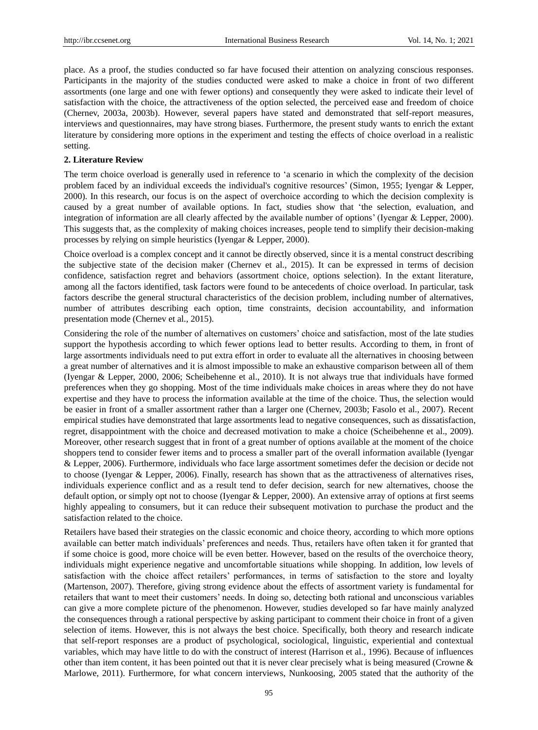place. As a proof, the studies conducted so far have focused their attention on analyzing conscious responses. Participants in the majority of the studies conducted were asked to make a choice in front of two different assortments (one large and one with fewer options) and consequently they were asked to indicate their level of satisfaction with the choice, the attractiveness of the option selected, the perceived ease and freedom of choice (Chernev, 2003a, 2003b). However, several papers have stated and demonstrated that self-report measures, interviews and questionnaires, may have strong biases. Furthermore, the present study wants to enrich the extant literature by considering more options in the experiment and testing the effects of choice overload in a realistic setting.

## **2. Literature Review**

The term choice overload is generally used in reference to "a scenario in which the complexity of the decision problem faced by an individual exceeds the individual's cognitive resources" (Simon, 1955; Iyengar & Lepper, 2000). In this research, our focus is on the aspect of overchoice according to which the decision complexity is caused by a great number of available options. In fact, studies show that "the selection, evaluation, and integration of information are all clearly affected by the available number of options' (Iyengar & Lepper, 2000). This suggests that, as the complexity of making choices increases, people tend to simplify their decision-making processes by relying on simple heuristics (Iyengar & Lepper, 2000).

Choice overload is a complex concept and it cannot be directly observed, since it is a mental construct describing the subjective state of the decision maker (Chernev et al., 2015). It can be expressed in terms of decision confidence, satisfaction regret and behaviors (assortment choice, options selection). In the extant literature, among all the factors identified, task factors were found to be antecedents of choice overload. In particular, task factors describe the general structural characteristics of the decision problem, including number of alternatives, number of attributes describing each option, time constraints, decision accountability, and information presentation mode (Chernev et al., 2015).

Considering the role of the number of alternatives on customers" choice and satisfaction, most of the late studies support the hypothesis according to which fewer options lead to better results. According to them, in front of large assortments individuals need to put extra effort in order to evaluate all the alternatives in choosing between a great number of alternatives and it is almost impossible to make an exhaustive comparison between all of them (Iyengar & Lepper, 2000, 2006; Scheibehenne et al., 2010). It is not always true that individuals have formed preferences when they go shopping. Most of the time individuals make choices in areas where they do not have expertise and they have to process the information available at the time of the choice. Thus, the selection would be easier in front of a smaller assortment rather than a larger one (Chernev, 2003b; Fasolo et al., 2007). Recent empirical studies have demonstrated that large assortments lead to negative consequences, such as dissatisfaction, regret, disappointment with the choice and decreased motivation to make a choice (Scheibehenne et al., 2009). Moreover, other research suggest that in front of a great number of options available at the moment of the choice shoppers tend to consider fewer items and to process a smaller part of the overall information available (Iyengar & Lepper, 2006). Furthermore, individuals who face large assortment sometimes defer the decision or decide not to choose (Iyengar & Lepper, 2006). Finally, research has shown that as the attractiveness of alternatives rises, individuals experience conflict and as a result tend to defer decision, search for new alternatives, choose the default option, or simply opt not to choose (Iyengar & Lepper, 2000). An extensive array of options at first seems highly appealing to consumers, but it can reduce their subsequent motivation to purchase the product and the satisfaction related to the choice.

Retailers have based their strategies on the classic economic and choice theory, according to which more options available can better match individuals" preferences and needs. Thus, retailers have often taken it for granted that if some choice is good, more choice will be even better. However, based on the results of the overchoice theory, individuals might experience negative and uncomfortable situations while shopping. In addition, low levels of satisfaction with the choice affect retailers" performances, in terms of satisfaction to the store and loyalty (Martenson, 2007). Therefore, giving strong evidence about the effects of assortment variety is fundamental for retailers that want to meet their customers" needs. In doing so, detecting both rational and unconscious variables can give a more complete picture of the phenomenon. However, studies developed so far have mainly analyzed the consequences through a rational perspective by asking participant to comment their choice in front of a given selection of items. However, this is not always the best choice. Specifically, both theory and research indicate that self-report responses are a product of psychological, sociological, linguistic, experiential and contextual variables, which may have little to do with the construct of interest (Harrison et al., 1996). Because of influences other than item content, it has been pointed out that it is never clear precisely what is being measured (Crowne & Marlowe, 2011). Furthermore, for what concern interviews, Nunkoosing, 2005 stated that the authority of the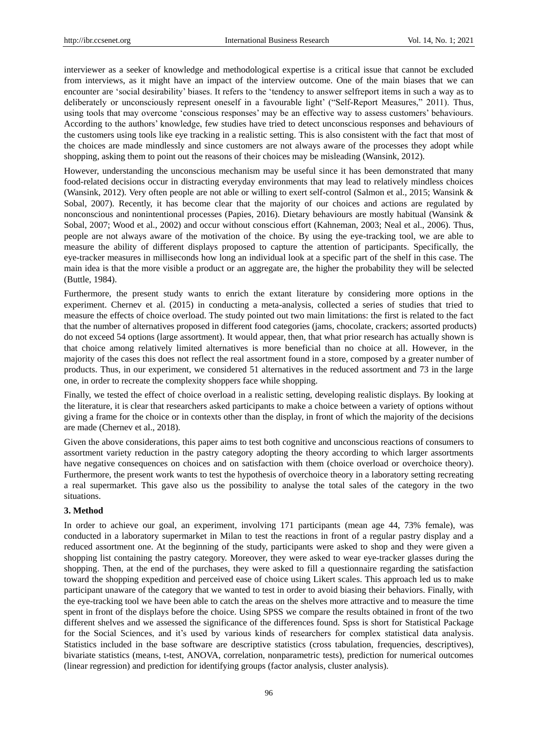interviewer as a seeker of knowledge and methodological expertise is a critical issue that cannot be excluded from interviews, as it might have an impact of the interview outcome. One of the main biases that we can encounter are "social desirability" biases. It refers to the "tendency to answer selfreport items in such a way as to deliberately or unconsciously represent oneself in a favourable light" ("Self-Report Measures," 2011). Thus, using tools that may overcome "conscious responses" may be an effective way to assess customers" behaviours. According to the authors" knowledge, few studies have tried to detect unconscious responses and behaviours of the customers using tools like eye tracking in a realistic setting. This is also consistent with the fact that most of the choices are made mindlessly and since customers are not always aware of the processes they adopt while shopping, asking them to point out the reasons of their choices may be misleading (Wansink, 2012).

However, understanding the unconscious mechanism may be useful since it has been demonstrated that many food-related decisions occur in distracting everyday environments that may lead to relatively mindless choices (Wansink, 2012). Very often people are not able or willing to exert self-control (Salmon et al., 2015; Wansink & Sobal, 2007). Recently, it has become clear that the majority of our choices and actions are regulated by nonconscious and nonintentional processes (Papies, 2016). Dietary behaviours are mostly habitual (Wansink & Sobal, 2007; Wood et al., 2002) and occur without conscious effort (Kahneman, 2003; Neal et al., 2006). Thus, people are not always aware of the motivation of the choice. By using the eye-tracking tool, we are able to measure the ability of different displays proposed to capture the attention of participants. Specifically, the eye-tracker measures in milliseconds how long an individual look at a specific part of the shelf in this case. The main idea is that the more visible a product or an aggregate are, the higher the probability they will be selected (Buttle, 1984).

Furthermore, the present study wants to enrich the extant literature by considering more options in the experiment. Chernev et al. (2015) in conducting a meta-analysis, collected a series of studies that tried to measure the effects of choice overload. The study pointed out two main limitations: the first is related to the fact that the number of alternatives proposed in different food categories (jams, chocolate, crackers; assorted products) do not exceed 54 options (large assortment). It would appear, then, that what prior research has actually shown is that choice among relatively limited alternatives is more beneficial than no choice at all. However, in the majority of the cases this does not reflect the real assortment found in a store, composed by a greater number of products. Thus, in our experiment, we considered 51 alternatives in the reduced assortment and 73 in the large one, in order to recreate the complexity shoppers face while shopping.

Finally, we tested the effect of choice overload in a realistic setting, developing realistic displays. By looking at the literature, it is clear that researchers asked participants to make a choice between a variety of options without giving a frame for the choice or in contexts other than the display, in front of which the majority of the decisions are made (Chernev et al., 2018).

Given the above considerations, this paper aims to test both cognitive and unconscious reactions of consumers to assortment variety reduction in the pastry category adopting the theory according to which larger assortments have negative consequences on choices and on satisfaction with them (choice overload or overchoice theory). Furthermore, the present work wants to test the hypothesis of overchoice theory in a laboratory setting recreating a real supermarket. This gave also us the possibility to analyse the total sales of the category in the two situations.

## **3. Method**

In order to achieve our goal, an experiment, involving 171 participants (mean age 44, 73% female), was conducted in a laboratory supermarket in Milan to test the reactions in front of a regular pastry display and a reduced assortment one. At the beginning of the study, participants were asked to shop and they were given a shopping list containing the pastry category. Moreover, they were asked to wear eye-tracker glasses during the shopping. Then, at the end of the purchases, they were asked to fill a questionnaire regarding the satisfaction toward the shopping expedition and perceived ease of choice using Likert scales. This approach led us to make participant unaware of the category that we wanted to test in order to avoid biasing their behaviors. Finally, with the eye-tracking tool we have been able to catch the areas on the shelves more attractive and to measure the time spent in front of the displays before the choice. Using SPSS we compare the results obtained in front of the two different shelves and we assessed the significance of the differences found. Spss is short for Statistical Package for the Social Sciences, and it's used by various kinds of researchers for complex statistical data analysis. Statistics included in the base software are descriptive statistics (cross tabulation, frequencies, descriptives), bivariate statistics (means, t-test, ANOVA, correlation, nonparametric tests), prediction for numerical outcomes (linear regression) and prediction for identifying groups (factor analysis, cluster analysis).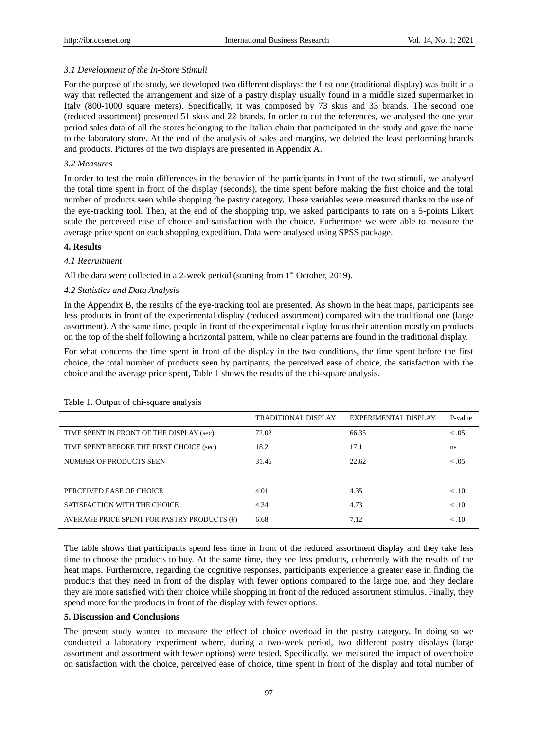## *3.1 Development of the In-Store Stimuli*

For the purpose of the study, we developed two different displays: the first one (traditional display) was built in a way that reflected the arrangement and size of a pastry display usually found in a middle sized supermarket in Italy (800-1000 square meters). Specifically, it was composed by 73 skus and 33 brands. The second one (reduced assortment) presented 51 skus and 22 brands. In order to cut the references, we analysed the one year period sales data of all the stores belonging to the Italian chain that participated in the study and gave the name to the laboratory store. At the end of the analysis of sales and margins, we deleted the least performing brands and products. Pictures of the two displays are presented in Appendix A.

## *3.2 Measures*

In order to test the main differences in the behavior of the participants in front of the two stimuli, we analysed the total time spent in front of the display (seconds), the time spent before making the first choice and the total number of products seen while shopping the pastry category. These variables were measured thanks to the use of the eye-tracking tool. Then, at the end of the shopping trip, we asked participants to rate on a 5-points Likert scale the perceived ease of choice and satisfaction with the choice. Furhermore we were able to measure the average price spent on each shopping expedition. Data were analysed using SPSS package.

## **4. Results**

# *4.1 Recruitment*

All the dara were collected in a 2-week period (starting from  $1<sup>st</sup>$  October, 2019).

## *4.2 Statistics and Data Analysis*

In the Appendix B, the results of the eye-tracking tool are presented. As shown in the heat maps, participants see less products in front of the experimental display (reduced assortment) compared with the traditional one (large assortment). A the same time, people in front of the experimental display focus their attention mostly on products on the top of the shelf following a horizontal pattern, while no clear patterns are found in the traditional display.

For what concerns the time spent in front of the display in the two conditions, the time spent before the first choice, the total number of products seen by partipants, the perceived ease of choice, the satisfaction with the choice and the average price spent, Table 1 shows the results of the chi-square analysis.

|                                                      | <b>TRADITIONAL DISPLAY</b> | EXPERIMENTAL DISPLAY | P-value |
|------------------------------------------------------|----------------------------|----------------------|---------|
| TIME SPENT IN FRONT OF THE DISPLAY (sec)             | 72.02                      | 66.35                | < 0.05  |
| TIME SPENT BEFORE THE FIRST CHOICE (sec)             | 18.2                       | 17.1                 | ns      |
| NUMBER OF PRODUCTS SEEN                              | 31.46                      | 22.62                | < .05   |
|                                                      |                            |                      |         |
| PERCEIVED EASE OF CHOICE                             | 4.01                       | 4.35                 | < 0.10  |
| SATISFACTION WITH THE CHOICE                         | 4.34                       | 4.73                 | < 0.10  |
| AVERAGE PRICE SPENT FOR PASTRY PRODUCTS $(\epsilon)$ | 6.68                       | 7.12                 | < 0.10  |

## Table 1. Output of chi-square analysis

The table shows that participants spend less time in front of the reduced assortment display and they take less time to choose the products to buy. At the same time, they see less products, coherently with the results of the heat maps. Furthermore, regarding the cognitive responses, participants experience a greater ease in finding the products that they need in front of the display with fewer options compared to the large one, and they declare they are more satisfied with their choice while shopping in front of the reduced assortment stimulus. Finally, they spend more for the products in front of the display with fewer options.

## **5. Discussion and Conclusions**

The present study wanted to measure the effect of choice overload in the pastry category. In doing so we conducted a laboratory experiment where, during a two-week period, two different pastry displays (large assortment and assortment with fewer options) were tested. Specifically, we measured the impact of overchoice on satisfaction with the choice, perceived ease of choice, time spent in front of the display and total number of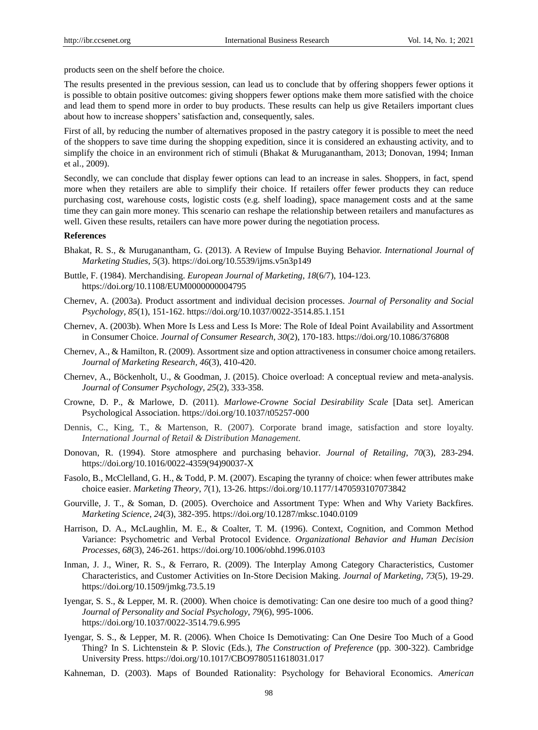products seen on the shelf before the choice.

The results presented in the previous session, can lead us to conclude that by offering shoppers fewer options it is possible to obtain positive outcomes: giving shoppers fewer options make them more satisfied with the choice and lead them to spend more in order to buy products. These results can help us give Retailers important clues about how to increase shoppers" satisfaction and, consequently, sales.

First of all, by reducing the number of alternatives proposed in the pastry category it is possible to meet the need of the shoppers to save time during the shopping expedition, since it is considered an exhausting activity, and to simplify the choice in an environment rich of stimuli (Bhakat & Muruganantham, 2013; Donovan, 1994; Inman et al., 2009).

Secondly, we can conclude that display fewer options can lead to an increase in sales. Shoppers, in fact, spend more when they retailers are able to simplify their choice. If retailers offer fewer products they can reduce purchasing cost, warehouse costs, logistic costs (e.g. shelf loading), space management costs and at the same time they can gain more money. This scenario can reshape the relationship between retailers and manufactures as well. Given these results, retailers can have more power during the negotiation process.

## **References**

- Bhakat, R. S., & Muruganantham, G. (2013). A Review of Impulse Buying Behavior. *International Journal of Marketing Studies*, *5*(3). https://doi.org/10.5539/ijms.v5n3p149
- Buttle, F. (1984). Merchandising. *European Journal of Marketing*, *18*(6/7), 104-123. https://doi.org/10.1108/EUM0000000004795
- Chernev, A. (2003a). Product assortment and individual decision processes. *Journal of Personality and Social Psychology*, *85*(1), 151-162. https://doi.org/10.1037/0022-3514.85.1.151
- Chernev, A. (2003b). When More Is Less and Less Is More: The Role of Ideal Point Availability and Assortment in Consumer Choice. *Journal of Consumer Research*, *30*(2), 170-183. https://doi.org/10.1086/376808
- Chernev, A., & Hamilton, R. (2009). Assortment size and option attractiveness in consumer choice among retailers. *Journal of Marketing Research, 46*(3), 410-420.
- Chernev, A., Böckenholt, U., & Goodman, J. (2015). Choice overload: A conceptual review and meta-analysis. *Journal of Consumer Psychology, 25*(2), 333-358.
- Crowne, D. P., & Marlowe, D. (2011). *Marlowe-Crowne Social Desirability Scale* [Data set]. American Psychological Association. https://doi.org/10.1037/t05257-000
- Dennis, C., King, T., & Martenson, R. (2007). Corporate brand image, satisfaction and store loyalty. *International Journal of Retail & Distribution Management*.
- Donovan, R. (1994). Store atmosphere and purchasing behavior. *Journal of Retailing*, *70*(3), 283-294. https://doi.org/10.1016/0022-4359(94)90037-X
- Fasolo, B., McClelland, G. H., & Todd, P. M. (2007). Escaping the tyranny of choice: when fewer attributes make choice easier. *Marketing Theory*, *7*(1), 13-26. https://doi.org/10.1177/1470593107073842
- Gourville, J. T., & Soman, D. (2005). Overchoice and Assortment Type: When and Why Variety Backfires. *Marketing Science*, *24*(3), 382-395. https://doi.org/10.1287/mksc.1040.0109
- Harrison, D. A., McLaughlin, M. E., & Coalter, T. M. (1996). Context, Cognition, and Common Method Variance: Psychometric and Verbal Protocol Evidence. *Organizational Behavior and Human Decision Processes*, *68*(3), 246-261. https://doi.org/10.1006/obhd.1996.0103
- Inman, J. J., Winer, R. S., & Ferraro, R. (2009). The Interplay Among Category Characteristics, Customer Characteristics, and Customer Activities on In-Store Decision Making. *Journal of Marketing*, *73*(5), 19-29. https://doi.org/10.1509/jmkg.73.5.19
- Iyengar, S. S., & Lepper, M. R. (2000). When choice is demotivating: Can one desire too much of a good thing? *Journal of Personality and Social Psychology*, *79*(6), 995-1006. https://doi.org/10.1037/0022-3514.79.6.995
- Iyengar, S. S., & Lepper, M. R. (2006). When Choice Is Demotivating: Can One Desire Too Much of a Good Thing? In S. Lichtenstein & P. Slovic (Eds.), *The Construction of Preference* (pp. 300-322). Cambridge University Press. https://doi.org/10.1017/CBO9780511618031.017
- Kahneman, D. (2003). Maps of Bounded Rationality: Psychology for Behavioral Economics. *American*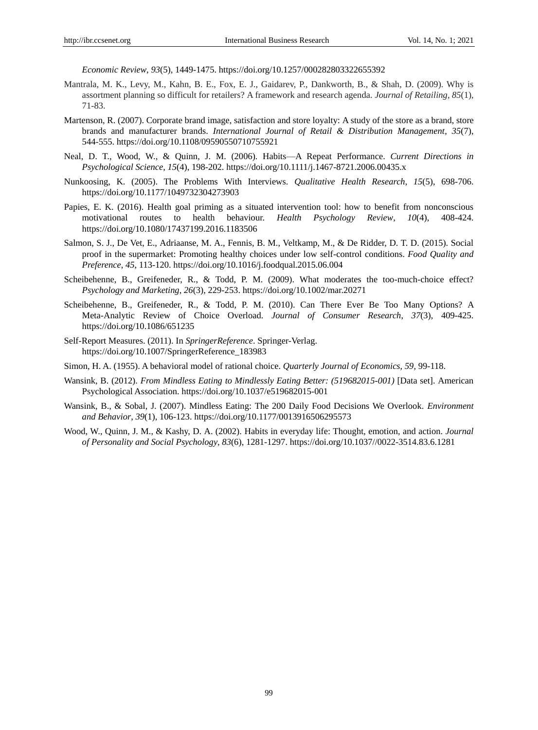*Economic Review*, *93*(5), 1449-1475. https://doi.org/10.1257/000282803322655392

- Mantrala, M. K., Levy, M., Kahn, B. E., Fox, E. J., Gaidarev, P., Dankworth, B., & Shah, D. (2009). Why is assortment planning so difficult for retailers? A framework and research agenda. *Journal of Retailing*, *85*(1), 71-83.
- Martenson, R. (2007). Corporate brand image, satisfaction and store loyalty: A study of the store as a brand, store brands and manufacturer brands. *International Journal of Retail & Distribution Management*, *35*(7), 544-555. https://doi.org/10.1108/09590550710755921
- Neal, D. T., Wood, W., & Quinn, J. M. (2006). Habits—A Repeat Performance. *Current Directions in Psychological Science*, *15*(4), 198-202. https://doi.org/10.1111/j.1467-8721.2006.00435.x
- Nunkoosing, K. (2005). The Problems With Interviews. *Qualitative Health Research*, *15*(5), 698-706. https://doi.org/10.1177/1049732304273903
- Papies, E. K. (2016). Health goal priming as a situated intervention tool: how to benefit from nonconscious motivational routes to health behaviour. *Health Psychology Review*, *10*(4), 408-424. https://doi.org/10.1080/17437199.2016.1183506
- Salmon, S. J., De Vet, E., Adriaanse, M. A., Fennis, B. M., Veltkamp, M., & De Ridder, D. T. D. (2015). Social proof in the supermarket: Promoting healthy choices under low self-control conditions. *Food Quality and Preference*, *45*, 113-120. https://doi.org/10.1016/j.foodqual.2015.06.004
- Scheibehenne, B., Greifeneder, R., & Todd, P. M. (2009). What moderates the too-much-choice effect? *Psychology and Marketing*, *26*(3), 229-253. https://doi.org/10.1002/mar.20271
- Scheibehenne, B., Greifeneder, R., & Todd, P. M. (2010). Can There Ever Be Too Many Options? A Meta-Analytic Review of Choice Overload. *Journal of Consumer Research*, *37*(3), 409-425. https://doi.org/10.1086/651235
- Self-Report Measures. (2011). In *SpringerReference*. Springer-Verlag. https://doi.org/10.1007/SpringerReference\_183983
- Simon, H. A. (1955). A behavioral model of rational choice. *Quarterly Journal of Economics, 59,* 99-118.
- Wansink, B. (2012). *From Mindless Eating to Mindlessly Eating Better: (519682015-001)* [Data set]. American Psychological Association. https://doi.org/10.1037/e519682015-001
- Wansink, B., & Sobal, J. (2007). Mindless Eating: The 200 Daily Food Decisions We Overlook. *Environment and Behavior*, *39*(1), 106-123. https://doi.org/10.1177/0013916506295573
- Wood, W., Quinn, J. M., & Kashy, D. A. (2002). Habits in everyday life: Thought, emotion, and action. *Journal of Personality and Social Psychology*, *83*(6), 1281-1297. https://doi.org/10.1037//0022-3514.83.6.1281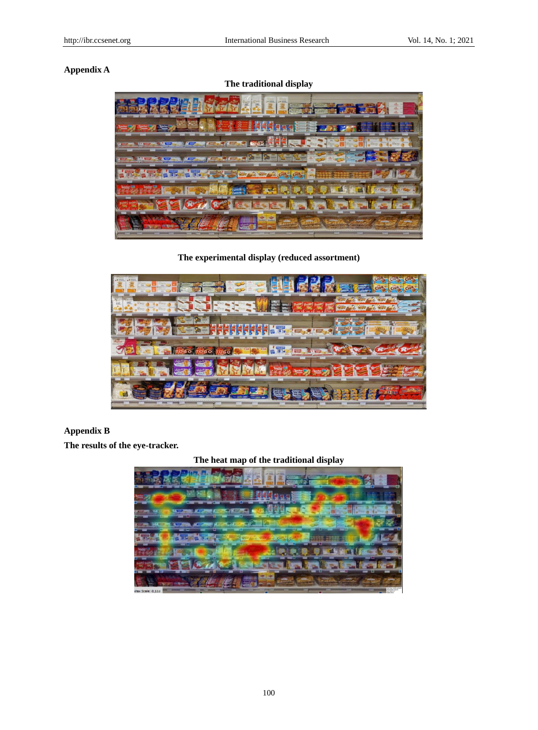# **Appendix A**



**The experimental display (reduced assortment)**



# **Appendix B**

**The results of the eye-tracker.** 

# **The heat map of the traditional display**